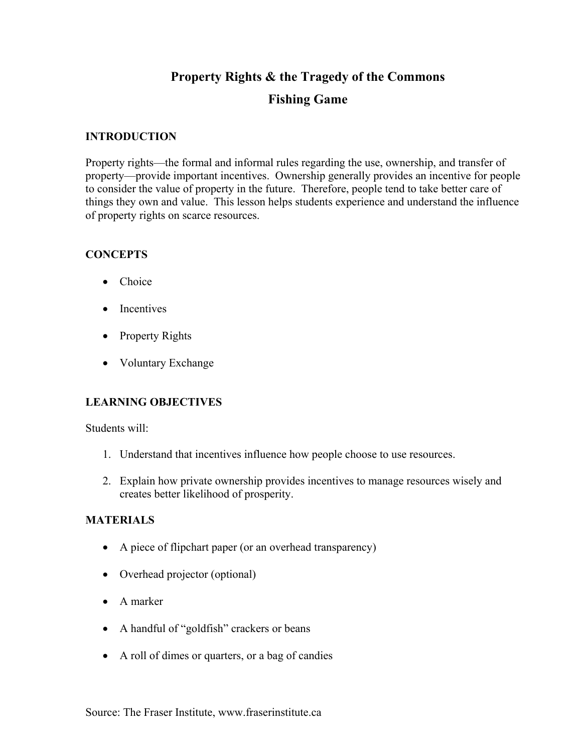# **Property Rights & the Tragedy of the Commons**

# **Fishing Game**

## **INTRODUCTION**

Property rights—the formal and informal rules regarding the use, ownership, and transfer of property—provide important incentives. Ownership generally provides an incentive for people to consider the value of property in the future. Therefore, people tend to take better care of things they own and value. This lesson helps students experience and understand the influence of property rights on scarce resources.

## **CONCEPTS**

- Choice
- Incentives
- Property Rights
- Voluntary Exchange

# **LEARNING OBJECTIVES**

Students will:

- 1. Understand that incentives influence how people choose to use resources.
- 2. Explain how private ownership provides incentives to manage resources wisely and creates better likelihood of prosperity.

#### **MATERIALS**

- A piece of flipchart paper (or an overhead transparency)
- Overhead projector (optional)
- A marker
- A handful of "goldfish" crackers or beans
- A roll of dimes or quarters, or a bag of candies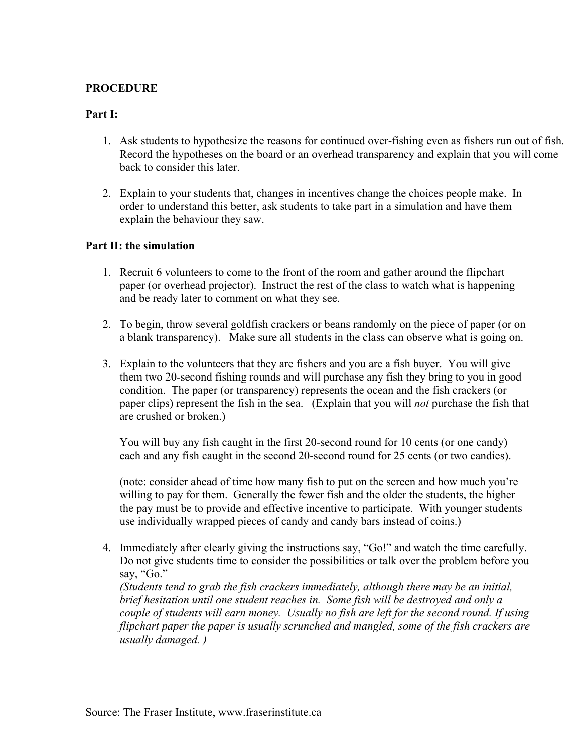# **PROCEDURE**

#### **Part I:**

- 1. Ask students to hypothesize the reasons for continued over-fishing even as fishers run out of fish. Record the hypotheses on the board or an overhead transparency and explain that you will come back to consider this later.
- 2. Explain to your students that, changes in incentives change the choices people make. In order to understand this better, ask students to take part in a simulation and have them explain the behaviour they saw.

#### **Part II: the simulation**

- 1. Recruit 6 volunteers to come to the front of the room and gather around the flipchart paper (or overhead projector). Instruct the rest of the class to watch what is happening and be ready later to comment on what they see.
- 2. To begin, throw several goldfish crackers or beans randomly on the piece of paper (or on a blank transparency). Make sure all students in the class can observe what is going on.
- 3. Explain to the volunteers that they are fishers and you are a fish buyer. You will give them two 20-second fishing rounds and will purchase any fish they bring to you in good condition. The paper (or transparency) represents the ocean and the fish crackers (or paper clips) represent the fish in the sea. (Explain that you will *not* purchase the fish that are crushed or broken.)

You will buy any fish caught in the first 20-second round for 10 cents (or one candy) each and any fish caught in the second 20-second round for 25 cents (or two candies).

(note: consider ahead of time how many fish to put on the screen and how much you're willing to pay for them. Generally the fewer fish and the older the students, the higher the pay must be to provide and effective incentive to participate. With younger students use individually wrapped pieces of candy and candy bars instead of coins.)

4. Immediately after clearly giving the instructions say, "Go!" and watch the time carefully. Do not give students time to consider the possibilities or talk over the problem before you say, "Go."

*(Students tend to grab the fish crackers immediately, although there may be an initial, brief hesitation until one student reaches in. Some fish will be destroyed and only a couple of students will earn money. Usually no fish are left for the second round. If using flipchart paper the paper is usually scrunched and mangled, some of the fish crackers are usually damaged. )*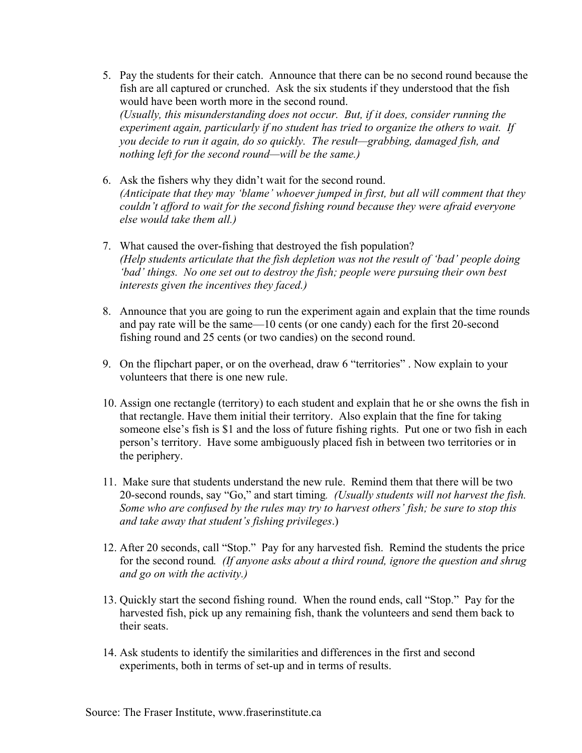- 5. Pay the students for their catch. Announce that there can be no second round because the fish are all captured or crunched. Ask the six students if they understood that the fish would have been worth more in the second round. *(Usually, this misunderstanding does not occur. But, if it does, consider running the experiment again, particularly if no student has tried to organize the others to wait. If you decide to run it again, do so quickly. The result—grabbing, damaged fish, and nothing left for the second round—will be the same.)*
- 6. Ask the fishers why they didn't wait for the second round. *(Anticipate that they may 'blame' whoever jumped in first, but all will comment that they couldn't afford to wait for the second fishing round because they were afraid everyone else would take them all.)*
- 7. What caused the over-fishing that destroyed the fish population? *(Help students articulate that the fish depletion was not the result of 'bad' people doing 'bad' things. No one set out to destroy the fish; people were pursuing their own best interests given the incentives they faced.)*
- 8. Announce that you are going to run the experiment again and explain that the time rounds and pay rate will be the same—10 cents (or one candy) each for the first 20-second fishing round and 25 cents (or two candies) on the second round.
- 9. On the flipchart paper, or on the overhead, draw 6 "territories" . Now explain to your volunteers that there is one new rule.
- 10. Assign one rectangle (territory) to each student and explain that he or she owns the fish in that rectangle. Have them initial their territory. Also explain that the fine for taking someone else's fish is \$1 and the loss of future fishing rights. Put one or two fish in each person's territory. Have some ambiguously placed fish in between two territories or in the periphery.
- 11. Make sure that students understand the new rule. Remind them that there will be two 20-second rounds, say "Go," and start timing*. (Usually students will not harvest the fish. Some who are confused by the rules may try to harvest others' fish; be sure to stop this and take away that student's fishing privileges*.)
- 12. After 20 seconds, call "Stop." Pay for any harvested fish. Remind the students the price for the second round*. (If anyone asks about a third round, ignore the question and shrug and go on with the activity.)*
- 13. Quickly start the second fishing round. When the round ends, call "Stop." Pay for the harvested fish, pick up any remaining fish, thank the volunteers and send them back to their seats.
- 14. Ask students to identify the similarities and differences in the first and second experiments, both in terms of set-up and in terms of results.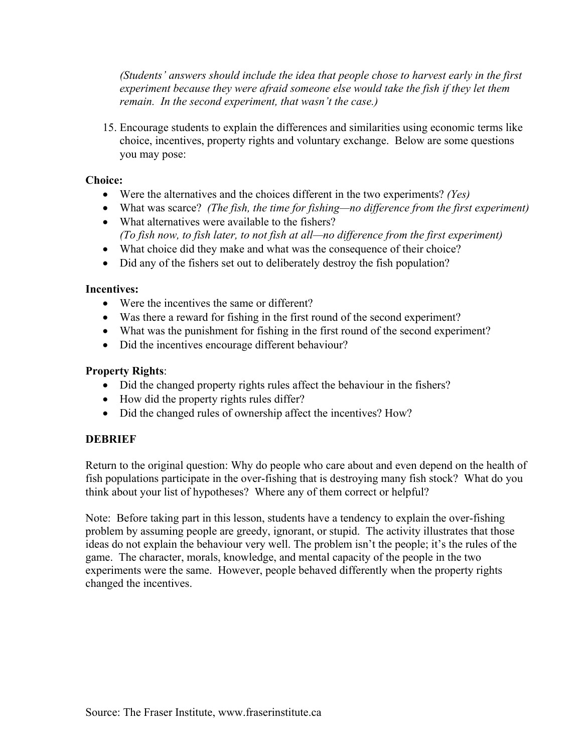*(Students' answers should include the idea that people chose to harvest early in the first experiment because they were afraid someone else would take the fish if they let them remain. In the second experiment, that wasn't the case.)* 

15. Encourage students to explain the differences and similarities using economic terms like choice, incentives, property rights and voluntary exchange. Below are some questions you may pose:

## **Choice:**

- Were the alternatives and the choices different in the two experiments? *(Yes)*
- What was scarce? *(The fish, the time for fishing—no difference from the first experiment)*
- What alternatives were available to the fishers? *(To fish now, to fish later, to not fish at all—no difference from the first experiment)*
- What choice did they make and what was the consequence of their choice?
- Did any of the fishers set out to deliberately destroy the fish population?

## **Incentives:**

- Were the incentives the same or different?
- Was there a reward for fishing in the first round of the second experiment?
- What was the punishment for fishing in the first round of the second experiment?
- Did the incentives encourage different behaviour?

## **Property Rights**:

- Did the changed property rights rules affect the behaviour in the fishers?
- How did the property rights rules differ?
- Did the changed rules of ownership affect the incentives? How?

# **DEBRIEF**

Return to the original question: Why do people who care about and even depend on the health of fish populations participate in the over-fishing that is destroying many fish stock? What do you think about your list of hypotheses? Where any of them correct or helpful?

Note: Before taking part in this lesson, students have a tendency to explain the over-fishing problem by assuming people are greedy, ignorant, or stupid. The activity illustrates that those ideas do not explain the behaviour very well. The problem isn't the people; it's the rules of the game. The character, morals, knowledge, and mental capacity of the people in the two experiments were the same. However, people behaved differently when the property rights changed the incentives.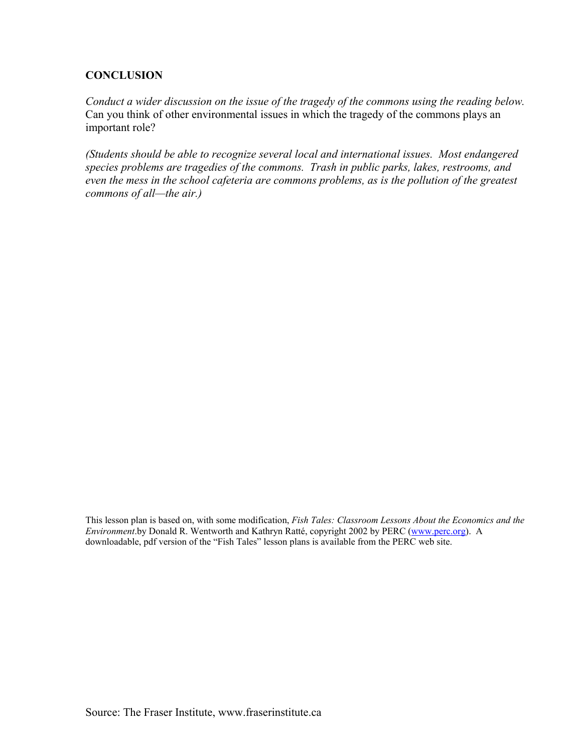# **CONCLUSION**

*Conduct a wider discussion on the issue of the tragedy of the commons using the reading below.*  Can you think of other environmental issues in which the tragedy of the commons plays an important role?

*(Students should be able to recognize several local and international issues. Most endangered species problems are tragedies of the commons. Trash in public parks, lakes, restrooms, and even the mess in the school cafeteria are commons problems, as is the pollution of the greatest commons of all—the air.)* 

This lesson plan is based on, with some modification, *Fish Tales: Classroom Lessons About the Economics and the Environment*.by Donald R. Wentworth and Kathryn Ratté, copyright 2002 by PERC [\(www.perc.org\)](http://www.perc.org/). A downloadable, pdf version of the "Fish Tales" lesson plans is available from the PERC web site.